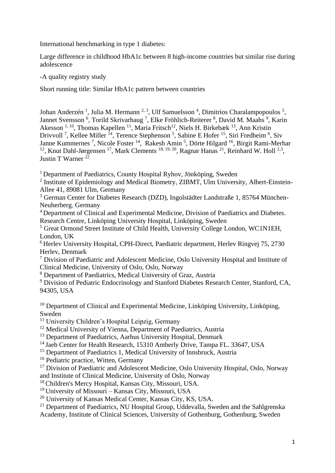International benchmarking in type 1 diabetes:

Large difference in childhood HbA1c between 8 high-income countries but similar rise during adolescence

-A quality registry study

Short running title: Similar HbA1c pattern between countries

Johan Anderzén<sup>1</sup>, Julia M. Hermann<sup>2,3</sup>, Ulf Samuelsson<sup>4</sup>, Dimitrios Charalampopoulos<sup>5</sup>, Jannet Svensson<sup>6</sup>, Torild Skrivarhaug<sup>7</sup>, Elke Fröhlich-Reiterer<sup>8</sup>, David M. Maahs<sup>9</sup>, Karin Akesson<sup>1, 10</sup>, Thomas Kapellen<sup>11</sup>, Maria Fritsch<sup>12</sup>, Niels H. Birkebæk <sup>13</sup>, Ann Kristin Drivvoll<sup>7</sup>, Kellee Miller<sup>14</sup>, Terence Stephenson<sup>5</sup>, Sabine E Hofer<sup>15</sup>, Siri Fredheim<sup>6</sup>, Siv Janne Kummernes<sup>7</sup>, Nicole Foster<sup>14</sup>, Rakesh Amin<sup>5</sup>, Dörte Hilgard<sup>16</sup>, Birgit Rami-Merhar <sup>12</sup>, Knut Dahl-Jørgensen <sup>17</sup>, Mark Clements <sup>18, 19, 20</sup>, Ragnar Hanas <sup>21</sup>, Reinhard W. Holl <sup>2,3</sup>, Justin T Warner <sup>22</sup>

<sup>1</sup> Department of Paediatrics, County Hospital Ryhov, Jönköping, Sweden

<sup>2</sup> Institute of Epidemiology and Medical Biometry, ZIBMT, Ulm University, Albert-Einstein-Allee 41, 89081 Ulm, Germany

<sup>3</sup> German Center for Diabetes Research (DZD), Ingolstädter Landstraße 1, 85764 München-Neuherberg, Germany

<sup>4</sup>Department of Clinical and Experimental Medicine, Division of Paediatrics and Diabetes. Research Centre, Linköping University Hospital, Linköping, Sweden

<sup>5</sup> Great Ormond Street Institute of Child Health, University College London, WC1N1EH, London, UK

<sup>6</sup> Herlev University Hospital, CPH-Direct, Paediatric department, Herlev Ringvej 75, 2730 Herlev, Denmark

<sup>7</sup> Division of Paediatric and Adolescent Medicine, Oslo University Hospital and Institute of Clinical Medicine, University of Oslo, Oslo, Norway

<sup>8</sup> Department of Paediatrics, Medical University of Graz, Austria

<sup>9</sup> Division of Pediatric Endocrinology and Stanford Diabetes Research Center, Stanford, CA, 94305, USA

 $10$  Department of Clinical and Experimental Medicine, Linköping University, Linköping, Sweden

<sup>11</sup> University Children's Hospital Leipzig, Germany

<sup>12</sup> Medical University of Vienna, Department of Paediatrics, Austria

<sup>13</sup> Department of Paediatrics, Aarhus University Hospital, Denmark

<sup>14</sup> Jaeb Center for Health Research, 15310 Amberly Drive, Tampa FL. 33647, USA

<sup>15</sup> Department of Paediatrics 1, Medical University of Innsbruck, Austria

<sup>16</sup> Pediatric practice, Witten, Germany

<sup>17</sup> Division of Paediatric and Adolescent Medicine, Oslo University Hospital, Oslo, Norway and Institute of Clinical Medicine, University of Oslo, Norway

<sup>18</sup> Children's Mercy Hospital, Kansas City, Missouri, USA.

<sup>19</sup> University of Missouri – Kansas City, Missouri, USA

<sup>20</sup> University of Kansas Medical Center, Kansas City, KS, USA.

<sup>21</sup> Department of Paediatrics, NU Hospital Group, Uddevalla, Sweden and the Sahlgrenska Academy, Institute of Clinical Sciences, University of Gothenburg, Gothenburg, Sweden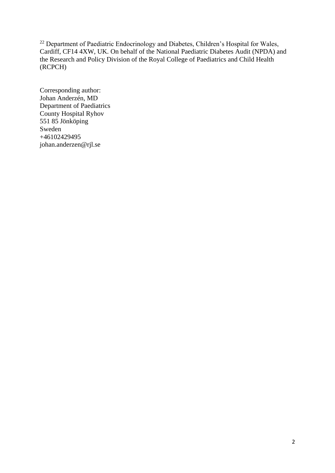<sup>22</sup> Department of Paediatric Endocrinology and Diabetes, Children's Hospital for Wales, Cardiff, CF14 4XW, UK. On behalf of the National Paediatric Diabetes Audit (NPDA) and the Research and Policy Division of the Royal College of Paediatrics and Child Health (RCPCH)

Corresponding author: Johan Anderzén, MD Department of Paediatrics County Hospital Ryhov 551 85 Jönköping Sweden +46102429495 johan.anderzen@rjl.se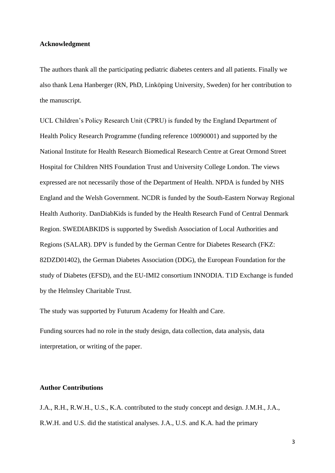## **Acknowledgment**

The authors thank all the participating pediatric diabetes centers and all patients. Finally we also thank Lena Hanberger (RN, PhD, Linköping University, Sweden) for her contribution to the manuscript.

UCL Children's Policy Research Unit (CPRU) is funded by the England Department of Health Policy Research Programme (funding reference 10090001) and supported by the National Institute for Health Research Biomedical Research Centre at Great Ormond Street Hospital for Children NHS Foundation Trust and University College London. The views expressed are not necessarily those of the Department of Health. NPDA is funded by NHS England and the Welsh Government. NCDR is funded by the South-Eastern Norway Regional Health Authority. DanDiabKids is funded by the Health Research Fund of Central Denmark Region. SWEDIABKIDS is supported by Swedish Association of Local Authorities and Regions (SALAR). DPV is funded by the German Centre for Diabetes Research (FKZ: 82DZD01402), the German Diabetes Association (DDG), the European Foundation for the study of Diabetes (EFSD), and the EU-IMI2 consortium INNODIA. T1D Exchange is funded by the Helmsley Charitable Trust.

The study was supported by Futurum Academy for Health and Care.

Funding sources had no role in the study design, data collection, data analysis, data interpretation, or writing of the paper.

# **Author Contributions**

J.A., R.H., R.W.H., U.S., K.A. contributed to the study concept and design. J.M.H., J.A., R.W.H. and U.S. did the statistical analyses. J.A., U.S. and K.A. had the primary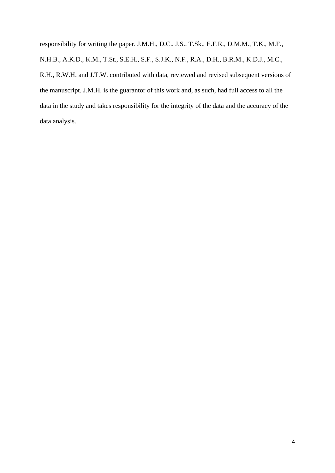responsibility for writing the paper. J.M.H., D.C., J.S., T.Sk., E.F.R., D.M.M., T.K., M.F., N.H.B., A.K.D., K.M., T.St., S.E.H., S.F., S.J.K., N.F., R.A., D.H., B.R.M., K.D.J., M.C., R.H., R.W.H. and J.T.W. contributed with data, reviewed and revised subsequent versions of the manuscript. J.M.H. is the guarantor of this work and, as such, had full access to all the data in the study and takes responsibility for the integrity of the data and the accuracy of the data analysis.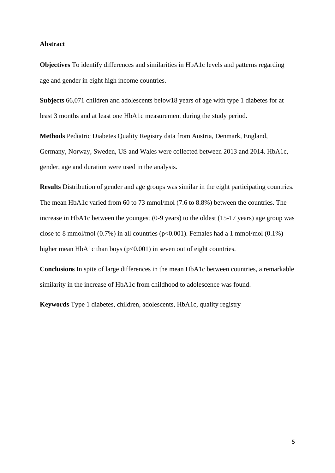## **Abstract**

**Objectives** To identify differences and similarities in HbA1c levels and patterns regarding age and gender in eight high income countries.

**Subjects** 66,071 children and adolescents below18 years of age with type 1 diabetes for at least 3 months and at least one HbA1c measurement during the study period.

**Methods** Pediatric Diabetes Quality Registry data from Austria, Denmark, England, Germany, Norway, Sweden, US and Wales were collected between 2013 and 2014. HbA1c, gender, age and duration were used in the analysis.

**Results** Distribution of gender and age groups was similar in the eight participating countries. The mean HbA1c varied from 60 to 73 mmol/mol (7.6 to 8.8%) between the countries. The increase in HbA1c between the youngest (0-9 years) to the oldest (15-17 years) age group was close to 8 mmol/mol (0.7%) in all countries (p<0.001). Females had a 1 mmol/mol (0.1%) higher mean HbA1c than boys (p<0.001) in seven out of eight countries.

**Conclusions** In spite of large differences in the mean HbA1c between countries, a remarkable similarity in the increase of HbA1c from childhood to adolescence was found.

**Keywords** Type 1 diabetes, children, adolescents, HbA1c, quality registry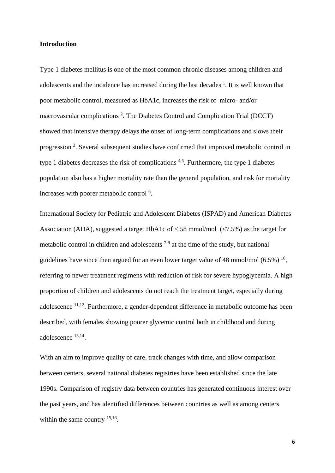## **Introduction**

Type 1 diabetes mellitus is one of the most common chronic diseases among children and adolescents and the incidence has increased during the last decades  $<sup>1</sup>$ . It is well known that</sup> poor metabolic control, measured as HbA1c, increases the risk of micro- and/or macrovascular complications<sup>2</sup>. The Diabetes Control and Complication Trial (DCCT) showed that intensive therapy delays the onset of long-term complications and slows their progression<sup>3</sup>. Several subsequent studies have confirmed that improved metabolic control in type 1 diabetes decreases the risk of complications  $4.5$ . Furthermore, the type 1 diabetes population also has a higher mortality rate than the general population, and risk for mortality increases with poorer metabolic control<sup>6</sup>.

International Society for Pediatric and Adolescent Diabetes (ISPAD) and American Diabetes Association (ADA), suggested a target HbA1c of  $<$  58 mmol/mol ( $<$ 7.5%) as the target for metabolic control in children and adolescents  $7-9$  at the time of the study, but national guidelines have since then argued for an even lower target value of 48 mmol/mol  $(6.5\%)$ <sup>10</sup>, referring to newer treatment regimens with reduction of risk for severe hypoglycemia. A high proportion of children and adolescents do not reach the treatment target, especially during adolescence <sup>11,12</sup>. Furthermore, a gender-dependent difference in metabolic outcome has been described, with females showing poorer glycemic control both in childhood and during adolescence 13,14 .

With an aim to improve quality of care, track changes with time, and allow comparison between centers, several national diabetes registries have been established since the late 1990s. Comparison of registry data between countries has generated continuous interest over the past years, and has identified differences between countries as well as among centers within the same country <sup>15,16</sup>.

6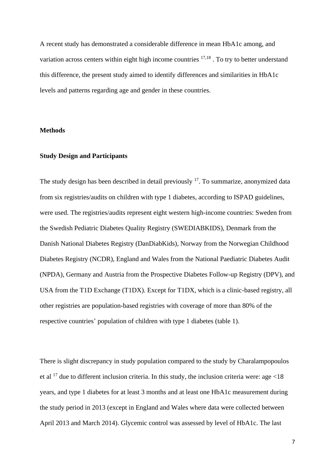A recent study has demonstrated a considerable difference in mean HbA1c among, and variation across centers within eight high income countries  $17,18$ . To try to better understand this difference, the present study aimed to identify differences and similarities in HbA1c levels and patterns regarding age and gender in these countries.

#### **Methods**

#### **Study Design and Participants**

The study design has been described in detail previously <sup>17</sup>. To summarize, anonymized data from six registries/audits on children with type 1 diabetes, according to ISPAD guidelines, were used. The registries/audits represent eight western high-income countries: Sweden from the Swedish Pediatric Diabetes Quality Registry (SWEDIABKIDS), Denmark from the Danish National Diabetes Registry (DanDiabKids), Norway from the Norwegian Childhood Diabetes Registry (NCDR), England and Wales from the National Paediatric Diabetes Audit (NPDA), Germany and Austria from the Prospective Diabetes Follow-up Registry (DPV), and USA from the T1D Exchange (T1DX). Except for T1DX, which is a clinic-based registry, all other registries are population-based registries with coverage of more than 80% of the respective countries' population of children with type 1 diabetes (table 1).

There is slight discrepancy in study population compared to the study by Charalampopoulos et al  $^{17}$  due to different inclusion criteria. In this study, the inclusion criteria were: age <18 years, and type 1 diabetes for at least 3 months and at least one HbA1c measurement during the study period in 2013 (except in England and Wales where data were collected between April 2013 and March 2014). Glycemic control was assessed by level of HbA1c. The last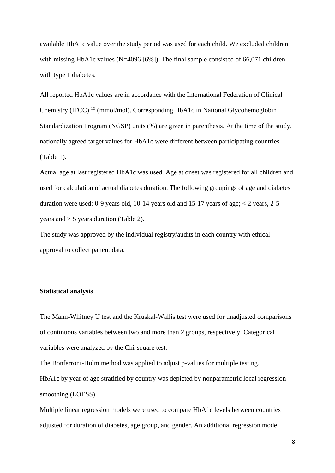available HbA1c value over the study period was used for each child. We excluded children with missing HbA1c values (N=4096 [6%]). The final sample consisted of 66,071 children with type 1 diabetes.

All reported HbA1c values are in accordance with the International Federation of Clinical Chemistry (IFCC) <sup>19</sup> (mmol/mol). Corresponding HbA1c in National Glycohemoglobin Standardization Program (NGSP) units (%) are given in parenthesis. At the time of the study, nationally agreed target values for HbA1c were different between participating countries (Table 1).

Actual age at last registered HbA1c was used. Age at onset was registered for all children and used for calculation of actual diabetes duration. The following groupings of age and diabetes duration were used: 0-9 years old, 10-14 years old and 15-17 years of age;  $< 2$  years, 2-5 years and > 5 years duration (Table 2).

The study was approved by the individual registry/audits in each country with ethical approval to collect patient data.

# **Statistical analysis**

The Mann-Whitney U test and the Kruskal-Wallis test were used for unadjusted comparisons of continuous variables between two and more than 2 groups, respectively. Categorical variables were analyzed by the Chi-square test.

The Bonferroni-Holm method was applied to adjust p-values for multiple testing. HbA1c by year of age stratified by country was depicted by nonparametric local regression smoothing (LOESS).

Multiple linear regression models were used to compare HbA1c levels between countries adjusted for duration of diabetes, age group, and gender. An additional regression model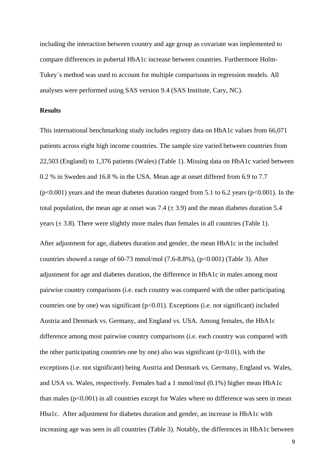including the interaction between country and age group as covariate was implemented to compare differences in pubertal HbA1c increase between countries. Furthermore Holm-Tukey`s method was used to account for multiple comparisons in regression models. All analyses were performed using SAS version 9.4 (SAS Institute, Cary, NC).

# **Results**

This international benchmarking study includes registry data on HbA1c values from 66,071 patients across eight high income countries. The sample size varied between countries from 22,503 (England) to 1,376 patients (Wales) (Table 1). Missing data on HbA1c varied between 0.2 % in Sweden and 16.8 % in the USA. Mean age at onset differed from 6.9 to 7.7  $(p<0.001)$  years and the mean diabetes duration ranged from 5.1 to 6.2 years  $(p<0.001)$ . In the total population, the mean age at onset was 7.4 ( $\pm$  3.9) and the mean diabetes duration 5.4 years  $(\pm 3.8)$ . There were slightly more males than females in all countries (Table 1).

After adjustment for age, diabetes duration and gender, the mean HbA1c in the included countries showed a range of  $60-73$  mmol/mol  $(7.6-8.8\%)$ ,  $(p<0.001)$  (Table 3). After adjustment for age and diabetes duration, the difference in HbA1c in males among most pairwise country comparisons (i.e. each country was compared with the other participating countries one by one) was significant  $(p<0.01)$ . Exceptions (i.e. not significant) included Austria and Denmark vs. Germany, and England vs. USA. Among females, the HbA1c difference among most pairwise country comparisons (i.e. each country was compared with the other participating countries one by one) also was significant  $(p<0.01)$ , with the exceptions (i.e. not significant) being Austria and Denmark vs. Germany, England vs. Wales, and USA vs. Wales, respectively. Females had a 1 mmol/mol (0.1%) higher mean HbA1c than males  $(p<0.001)$  in all countries except for Wales where no difference was seen in mean Hba1c. After adjustment for diabetes duration and gender, an increase in HbA1c with increasing age was seen in all countries (Table 3). Notably, the differences in HbA1c between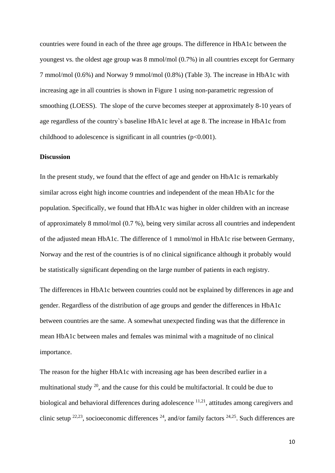countries were found in each of the three age groups. The difference in HbA1c between the youngest vs. the oldest age group was 8 mmol/mol (0.7%) in all countries except for Germany 7 mmol/mol (0.6%) and Norway 9 mmol/mol (0.8%) (Table 3). The increase in HbA1c with increasing age in all countries is shown in Figure 1 using non-parametric regression of smoothing (LOESS). The slope of the curve becomes steeper at approximately 8-10 years of age regardless of the country`s baseline HbA1c level at age 8. The increase in HbA1c from childhood to adolescence is significant in all countries  $(p<0.001)$ .

# **Discussion**

In the present study, we found that the effect of age and gender on HbA1c is remarkably similar across eight high income countries and independent of the mean HbA1c for the population. Specifically, we found that HbA1c was higher in older children with an increase of approximately 8 mmol/mol (0.7 %), being very similar across all countries and independent of the adjusted mean HbA1c. The difference of 1 mmol/mol in HbA1c rise between Germany, Norway and the rest of the countries is of no clinical significance although it probably would be statistically significant depending on the large number of patients in each registry.

The differences in HbA1c between countries could not be explained by differences in age and gender. Regardless of the distribution of age groups and gender the differences in HbA1c between countries are the same. A somewhat unexpected finding was that the difference in mean HbA1c between males and females was minimal with a magnitude of no clinical importance.

The reason for the higher HbA1c with increasing age has been described earlier in a multinational study  $^{20}$ , and the cause for this could be multifactorial. It could be due to biological and behavioral differences during adolescence  $11,21$ , attitudes among caregivers and clinic setup  $22,23$ , socioeconomic differences  $24$ , and/or family factors  $24,25$ . Such differences are

10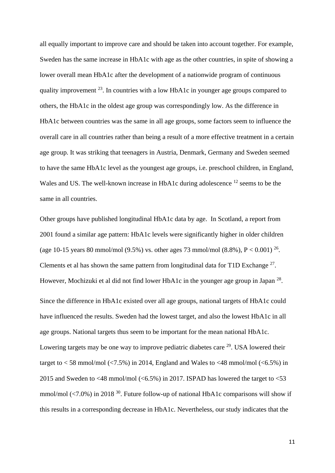all equally important to improve care and should be taken into account together. For example, Sweden has the same increase in HbA1c with age as the other countries, in spite of showing a lower overall mean HbA1c after the development of a nationwide program of continuous quality improvement  $^{23}$ . In countries with a low HbA1c in younger age groups compared to others, the HbA1c in the oldest age group was correspondingly low. As the difference in HbA1c between countries was the same in all age groups, some factors seem to influence the overall care in all countries rather than being a result of a more effective treatment in a certain age group. It was striking that teenagers in Austria, Denmark, Germany and Sweden seemed to have the same HbA1c level as the youngest age groups, i.e. preschool children, in England, Wales and US. The well-known increase in HbA1c during adolescence <sup>12</sup> seems to be the same in all countries.

Other groups have published longitudinal HbA1c data by age. In Scotland, a report from 2001 found a similar age pattern: HbA1c levels were significantly higher in older children (age 10-15 years 80 mmol/mol (9.5%) vs. other ages 73 mmol/mol (8.8%),  $P < 0.001$ ) <sup>26</sup>. Clements et al has shown the same pattern from longitudinal data for T1D Exchange  $27$ . However, Mochizuki et al did not find lower HbA1c in the younger age group in Japan<sup>28</sup>. Since the difference in HbA1c existed over all age groups, national targets of HbA1c could have influenced the results. Sweden had the lowest target, and also the lowest HbA1c in all age groups. National targets thus seem to be important for the mean national HbA1c. Lowering targets may be one way to improve pediatric diabetes care  $29$ . USA lowered their target to  $<$  58 mmol/mol ( $<$ 7.5%) in 2014, England and Wales to  $<$  48 mmol/mol ( $<$ 6.5%) in 2015 and Sweden to <48 mmol/mol (<6.5%) in 2017. ISPAD has lowered the target to  $\leq$ 53 mmol/mol  $\langle 7.0\% \rangle$  in 2018<sup>30</sup>. Future follow-up of national HbA1c comparisons will show if this results in a corresponding decrease in HbA1c. Nevertheless, our study indicates that the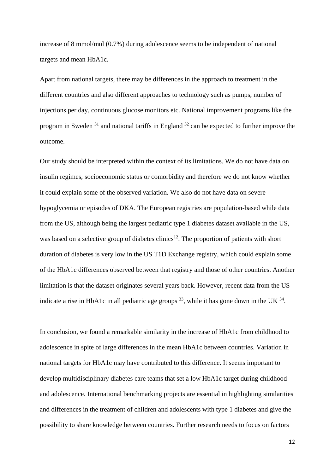increase of 8 mmol/mol (0.7%) during adolescence seems to be independent of national targets and mean HbA1c.

Apart from national targets, there may be differences in the approach to treatment in the different countries and also different approaches to technology such as pumps, number of injections per day, continuous glucose monitors etc. National improvement programs like the program in Sweden  $31$  and national tariffs in England  $32$  can be expected to further improve the outcome.

Our study should be interpreted within the context of its limitations. We do not have data on insulin regimes, socioeconomic status or comorbidity and therefore we do not know whether it could explain some of the observed variation. We also do not have data on severe hypoglycemia or episodes of DKA. The European registries are population-based while data from the US, although being the largest pediatric type 1 diabetes dataset available in the US, was based on a selective group of diabetes clinics<sup>12</sup>. The proportion of patients with short duration of diabetes is very low in the US T1D Exchange registry, which could explain some of the HbA1c differences observed between that registry and those of other countries. Another limitation is that the dataset originates several years back. However, recent data from the US indicate a rise in HbA1c in all pediatric age groups  $^{33}$ , while it has gone down in the UK  $^{34}$ .

In conclusion, we found a remarkable similarity in the increase of HbA1c from childhood to adolescence in spite of large differences in the mean HbA1c between countries. Variation in national targets for HbA1c may have contributed to this difference. It seems important to develop multidisciplinary diabetes care teams that set a low HbA1c target during childhood and adolescence. International benchmarking projects are essential in highlighting similarities and differences in the treatment of children and adolescents with type 1 diabetes and give the possibility to share knowledge between countries. Further research needs to focus on factors

12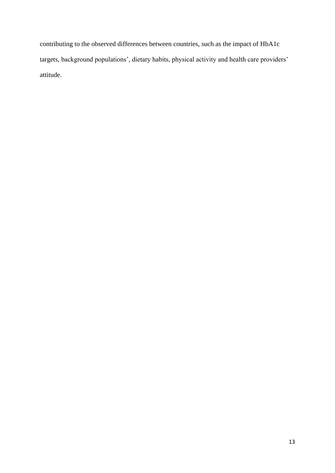contributing to the observed differences between countries, such as the impact of HbA1c targets, background populations', dietary habits, physical activity and health care providers' attitude.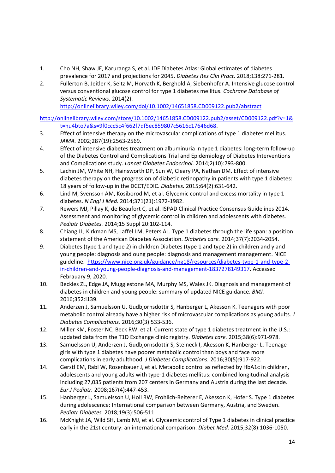- 1. Cho NH, Shaw JE, Karuranga S, et al. IDF Diabetes Atlas: Global estimates of diabetes prevalence for 2017 and projections for 2045. *Diabetes Res Clin Pract.* 2018;138:271-281.
- 2. Fullerton B, Jeitler K, Seitz M, Horvath K, Berghold A, Siebenhofer A. Intensive glucose control versus conventional glucose control for type 1 diabetes mellitus. *Cochrane Database of Systematic Reviews.* 2014(2).

<http://onlinelibrary.wiley.com/doi/10.1002/14651858.CD009122.pub2/abstract>

[http://onlinelibrary.wiley.com/store/10.1002/14651858.CD009122.pub2/asset/CD009122.pdf?v=1&](http://onlinelibrary.wiley.com/store/10.1002/14651858.CD009122.pub2/asset/CD009122.pdf?v=1&t=hu4bto7a&s=9f0ccc5c4f662f7df5ec859807c5616c17646d68) [t=hu4bto7a&s=9f0ccc5c4f662f7df5ec859807c5616c17646d68.](http://onlinelibrary.wiley.com/store/10.1002/14651858.CD009122.pub2/asset/CD009122.pdf?v=1&t=hu4bto7a&s=9f0ccc5c4f662f7df5ec859807c5616c17646d68)

- 3. Effect of intensive therapy on the microvascular complications of type 1 diabetes mellitus. *JAMA.* 2002;287(19):2563-2569.
- 4. Effect of intensive diabetes treatment on albuminuria in type 1 diabetes: long-term follow-up of the Diabetes Control and Complications Trial and Epidemiology of Diabetes Interventions and Complications study. *Lancet Diabetes Endocrinol.* 2014;2(10):793-800.
- 5. Lachin JM, White NH, Hainsworth DP, Sun W, Cleary PA, Nathan DM. Effect of intensive diabetes therapy on the progression of diabetic retinopathy in patients with type 1 diabetes: 18 years of follow-up in the DCCT/EDIC. *Diabetes.* 2015;64(2):631-642.
- 6. Lind M, Svensson AM, Kosiborod M, et al. Glycemic control and excess mortality in type 1 diabetes. *N Engl J Med.* 2014;371(21):1972-1982.
- 7. Rewers MJ, Pillay K, de Beaufort C, et al. ISPAD Clinical Practice Consensus Guidelines 2014. Assessment and monitoring of glycemic control in children and adolescents with diabetes. *Pediatr Diabetes.* 2014;15 Suppl 20:102-114.
- 8. Chiang JL, Kirkman MS, Laffel LM, Peters AL. Type 1 diabetes through the life span: a position statement of the American Diabetes Association. *Diabetes care.* 2014;37(7):2034-2054.
- 9. Diabetes (type 1 and type 2) in children Diabetes (type 1 and type 2) in children and y and young people: diagnosis and oung people: diagnosis and management management. NICE guideline. [https://www.nice.org.uk/guidance/ng18/resources/diabetes-type-1-and-type-2](https://www.nice.org.uk/guidance/ng18/resources/diabetes-type-1-and-type-2-in-children-and-young-people-diagnosis-and-management-1837278149317) [in-children-and-young-people-diagnosis-and-management-1837278149317.](https://www.nice.org.uk/guidance/ng18/resources/diabetes-type-1-and-type-2-in-children-and-young-people-diagnosis-and-management-1837278149317) Accessed Febrauary 9, 2020.
- 10. Beckles ZL, Edge JA, Mugglestone MA, Murphy MS, Wales JK. Diagnosis and management of diabetes in children and young people: summary of updated NICE guidance. *BMJ.*  2016;352:i139.
- 11. Anderzen J, Samuelsson U, Gudbjornsdottir S, Hanberger L, Akesson K. Teenagers with poor metabolic control already have a higher risk of microvascular complications as young adults. *J Diabetes Complications.* 2016;30(3):533-536.
- 12. Miller KM, Foster NC, Beck RW, et al. Current state of type 1 diabetes treatment in the U.S.: updated data from the T1D Exchange clinic registry. *Diabetes care.* 2015;38(6):971-978.
- 13. Samuelsson U, Anderzen J, Gudbjornsdottir S, Steineck I, Akesson K, Hanberger L. Teenage girls with type 1 diabetes have poorer metabolic control than boys and face more complications in early adulthood. *J Diabetes Complications.* 2016;30(5):917-922.
- 14. Gerstl EM, Rabl W, Rosenbauer J, et al. Metabolic control as reflected by HbA1c in children, adolescents and young adults with type-1 diabetes mellitus: combined longitudinal analysis including 27,035 patients from 207 centers in Germany and Austria during the last decade. *Eur J Pediatr.* 2008;167(4):447-453.
- 15. Hanberger L, Samuelsson U, Holl RW, Frohlich-Reiterer E, Akesson K, Hofer S. Type 1 diabetes during adolescence: International comparison between Germany, Austria, and Sweden. *Pediatr Diabetes.* 2018;19(3):506-511.
- 16. McKnight JA, Wild SH, Lamb MJ, et al. Glycaemic control of Type 1 diabetes in clinical practice early in the 21st century: an international comparison. *Diabet Med.* 2015;32(8):1036-1050.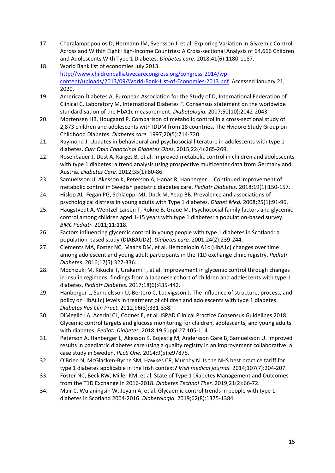- 17. Charalampopoulos D, Hermann JM, Svensson J, et al. Exploring Variation in Glycemic Control Across and Within Eight High-Income Countries: A Cross-sectional Analysis of 64,666 Children and Adolescents With Type 1 Diabetes. *Diabetes care.* 2018;41(6):1180-1187.
- 18. World Bank list of economies July 2013. [http://www.childrenpalliativecarecongress.org/congress-2014/wp](http://www.childrenpalliativecarecongress.org/congress-2014/wp-content/uploads/2013/09/World-Bank-List-of-Economies-2013.pdf)[content/uploads/2013/09/World-Bank-List-of-Economies-2013.pdf.](http://www.childrenpalliativecarecongress.org/congress-2014/wp-content/uploads/2013/09/World-Bank-List-of-Economies-2013.pdf) Accessed January 21, 2020.
- 19. American Diabetes A, European Association for the Study of D, International Federation of Clinical C, Laboratory M, International Diabetes F. Consensus statement on the worldwide standardisation of the HbA1c measurement. *Diabetologia.* 2007;50(10):2042-2043.
- 20. Mortensen HB, Hougaard P. Comparison of metabolic control in a cross-sectional study of 2,873 children and adolescents with IDDM from 18 countries. The Hvidore Study Group on Childhood Diabetes. *Diabetes care.* 1997;20(5):714-720.
- 21. Raymond J. Updates in behavioural and psychosocial literature in adolescents with type 1 diabetes. *Curr Opin Endocrinol Diabetes Obes.* 2015;22(4):265-269.
- 22. Rosenbauer J, Dost A, Karges B, et al. Improved metabolic control in children and adolescents with type 1 diabetes: a trend analysis using prospective multicenter data from Germany and Austria. *Diabetes Care.* 2012;35(1):80-86.
- 23. Samuelsson U, Akesson K, Peterson A, Hanas R, Hanberger L. Continued improvement of metabolic control in Swedish pediatric diabetes care. *Pediatr Diabetes.* 2018;19(1):150-157.
- 24. Hislop AL, Fegan PG, Schlaeppi MJ, Duck M, Yeap BB. Prevalence and associations of psychological distress in young adults with Type 1 diabetes. *Diabet Med.* 2008;25(1):91-96.
- 25. Haugstvedt A, Wentzel-Larsen T, Rokne B, Graue M. Psychosocial family factors and glycemic control among children aged 1-15 years with type 1 diabetes: a population-based survey. *BMC Pediatr.* 2011;11:118.
- 26. Factors influencing glycemic control in young people with type 1 diabetes in Scotland: a population-based study (DIABAUD2). *Diabetes care.* 2001;24(2):239-244.
- 27. Clements MA, Foster NC, Maahs DM, et al. Hemoglobin A1c (HbA1c) changes over time among adolescent and young adult participants in the T1D exchange clinic registry. *Pediatr Diabetes.* 2016;17(5):327-336.
- 28. Mochizuki M, Kikuchi T, Urakami T, et al. Improvement in glycemic control through changes in insulin regimens: findings from a Japanese cohort of children and adolescents with type 1 diabetes. *Pediatr Diabetes.* 2017;18(6):435-442.
- 29. Hanberger L, Samuelsson U, Bertero C, Ludvigsson J. The influence of structure, process, and policy on HbA(1c) levels in treatment of children and adolescents with type 1 diabetes. *Diabetes Res Clin Pract.* 2012;96(3):331-338.
- 30. DiMeglio LA, Acerini CL, Codner E, et al. ISPAD Clinical Practice Consensus Guidelines 2018: Glycemic control targets and glucose monitoring for children, adolescents, and young adults with diabetes. *Pediatr Diabetes.* 2018;19 Suppl 27:105-114.
- 31. Peterson A, Hanberger L, Akesson K, Bojestig M, Andersson Gare B, Samuelsson U. Improved results in paediatric diabetes care using a quality registry in an improvement collaborative: a case study in Sweden. *PLoS One.* 2014;9(5):e97875.
- 32. O'Brien N, McGlacken-Byrne SM, Hawkes CP, Murphy N. Is the NHS best practice tariff for type 1 diabetes applicable in the Irish context? *Irish medical journal.* 2014;107(7):204-207.
- 33. Foster NC, Beck RW, Miller KM, et al. State of Type 1 Diabetes Management and Outcomes from the T1D Exchange in 2016-2018. *Diabetes Technol Ther.* 2019;21(2):66-72.
- 34. Mair C, Wulaningsih W, Jeyam A, et al. Glycaemic control trends in people with type 1 diabetes in Scotland 2004-2016. *Diabetologia.* 2019;62(8):1375-1384.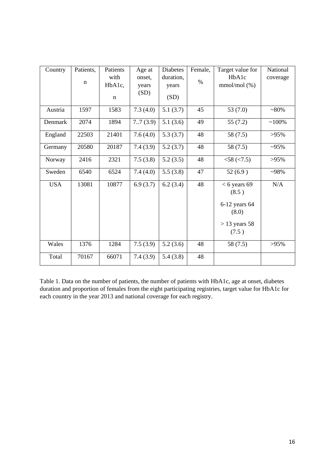| Country    | Patients,   | Patients    | Age at   | <b>Diabetes</b> | Female, | Target value for        | National |
|------------|-------------|-------------|----------|-----------------|---------|-------------------------|----------|
|            |             | with        | onset.   | duration,       |         | HbA1c                   | coverage |
|            | $\mathbf n$ | HbA1c,      | years    | years           | $\%$    | $mmol/mol$ (%)          |          |
|            |             | $\mathbf n$ | (SD)     | (SD)            |         |                         |          |
| Austria    | 1597        | 1583        | 7.3(4.0) | 5.1(3.7)        | 45      | 53 $(7.0)$              | $~180\%$ |
| Denmark    | 2074        | 1894        | 7.7(3.9) | 5.1(3.6)        | 49      | 55(7.2)                 | $~100\%$ |
| England    | 22503       | 21401       | 7.6(4.0) | 5.3(3.7)        | 48      | 58 (7.5)                | $>95\%$  |
| Germany    | 20580       | 20187       | 7.4(3.9) | 5.2(3.7)        | 48      | 58 (7.5)                | $~295\%$ |
| Norway     | 2416        | 2321        | 7.5(3.8) | 5.2(3.5)        | 48      | < 58 (< 7.5)            | $>95\%$  |
| Sweden     | 6540        | 6524        | 7.4(4.0) | 5.5(3.8)        | 47      | 52(6.9)                 | $-98%$   |
| <b>USA</b> | 13081       | 10877       | 6.9(3.7) | 6.2(3.4)        | 48      | $< 6$ years 69<br>(8.5) | N/A      |
|            |             |             |          |                 |         | 6-12 years 64           |          |
|            |             |             |          |                 |         | (8.0)                   |          |
|            |             |             |          |                 |         | $>$ 13 years 58         |          |
|            |             |             |          |                 |         | (7.5)                   |          |
| Wales      | 1376        | 1284        | 7.5(3.9) | 5.2(3.6)        | 48      | 58 (7.5)                | $>95\%$  |
| Total      | 70167       | 66071       | 7.4(3.9) | 5.4(3.8)        | 48      |                         |          |

Table 1. Data on the number of patients, the number of patients with HbA1c, age at onset, diabetes duration and proportion of females from the eight participating registries, target value for HbA1c for each country in the year 2013 and national coverage for each registry.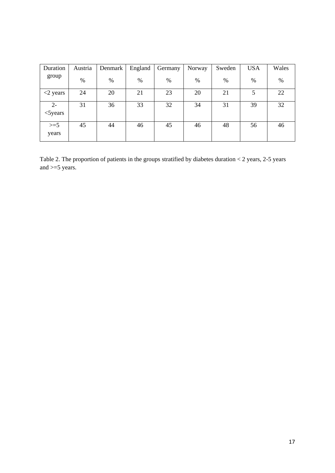| Duration                  | Austria | Denmark | England | Germany | Norway | Sweden | <b>USA</b> | Wales |
|---------------------------|---------|---------|---------|---------|--------|--------|------------|-------|
| group                     | $\%$    | $\%$    | $\%$    | $\%$    | $\%$   | %      | $\%$       | $\%$  |
| $\langle 2 \rangle$ years | 24      | 20      | 21      | 23      | 20     | 21     | 5          | 22    |
| $2 -$<br>$<$ 5 years      | 31      | 36      | 33      | 32      | 34     | 31     | 39         | 32    |
| $>=5$<br>years            | 45      | 44      | 46      | 45      | 46     | 48     | 56         | 46    |

Table 2. The proportion of patients in the groups stratified by diabetes duration < 2 years, 2-5 years and  $>=5$  years.